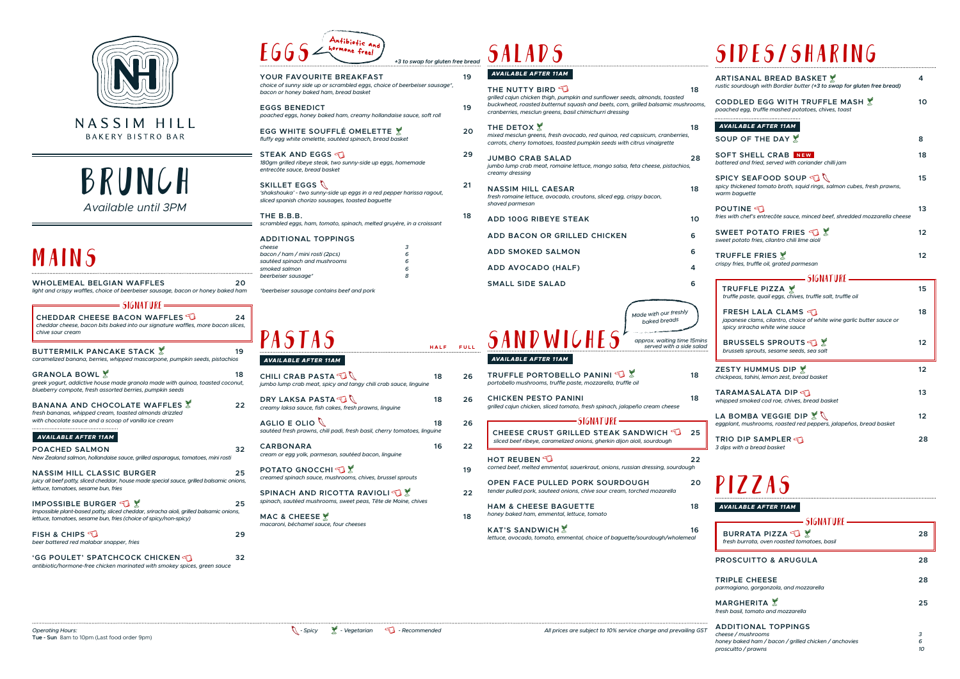

**BAKERY BISTRO BAR** 

### BRUNCH *Available until 3PM*

### MAINS

**LA BOMBA VEGGIE DIP**  $\%$ *eggplant, mushrooms, roasted red peppers, jalapeños, bread basket*

**TRIO DIP SAMPLER** *3 dips with a bread basket*

KAT'S SANDWICH 2012 **16** *lettuce, avocado, tomato, emmental, choice of baguette/sourdough/wholemeal*

| WHOLEMEAL BELGIAN WAFFLES<br>light and crispy waffles, choice of beerbeiser sausage, bacon or honey baked ham                                                                                                         | 20 |
|-----------------------------------------------------------------------------------------------------------------------------------------------------------------------------------------------------------------------|----|
| = SIGNATURE =                                                                                                                                                                                                         |    |
| CHEDDAR CHEESE BACON WAFFLES<br>cheddar cheese, bacon bits baked into our signature waffles, more bacon slices,<br>chive sour cream                                                                                   | 24 |
| BUTTERMILK PANCAKE STACK $\mathbb X$<br>caramelized banana, berries, whipped mascarpone, pumpkin seeds, pistachios                                                                                                    | 19 |
| GRANOLA BOWL $\mathbb X$<br>greek yogurt, addictive house made granola made with quinoa, toasted coconut,<br>blueberry compote, fresh assorted berries, pumpkin seeds                                                 | 18 |
| BANANA AND CHOCOLATE WAFFLES $\mathbb X$<br>fresh bananas, whipped cream, toasted almonds drizzled<br>with chocolate sauce and a scoop of vanilla ice cream                                                           | 22 |
| <b>AVAILABLE AFTER 11AM</b>                                                                                                                                                                                           |    |
| <b>POACHED SALMON</b><br>New Zealand salmon, hollandaise sauce, grilled asparagus, tomatoes, mini rosti                                                                                                               | 32 |
| <b>NASSIM HILL CLASSIC BURGER</b><br>juicy all beef patty, sliced cheddar, house made special sauce, grilled balsamic onions,<br>lettuce, tomatoes, sesame bun, fries                                                 | 25 |
| $\blacksquare$ IMPOSSIBLE BURGER $\mathbb{C}\mathbb{R}$<br>Impossible plant-based patty, sliced cheddar, sriracha aioli, grilled balsamic onions,<br>lettuce, tomatoes, sesame bun, fries (choice of spicy/non-spicy) | 25 |
| FISH & CHIPS $\widehat{\mathbb{E}}$<br>beer battered red malabar snapper, fries                                                                                                                                       | 29 |
| 'GG POULET' SPATCHCOCK CHICKEN $\lessdot$<br>antibiotic/hormone-free chicken marinated with smokey spices, green sauce                                                                                                | 32 |

| Antibiotic and<br>$E665$ $\measuredangle$ hormone free!                                                                                                                   |                                |    |
|---------------------------------------------------------------------------------------------------------------------------------------------------------------------------|--------------------------------|----|
|                                                                                                                                                                           | +3 to swap for gluten free bre |    |
| YOUR FAVOURITE BREAKFAST<br>choice of sunny side up or scrambled eggs, choice of beerbeiser sausage*,<br>bacon or honey baked ham, bread basket                           |                                | 19 |
| <b>EGGS BENEDICT</b><br>poached eggs, honey baked ham, creamy hollandaise sauce, soft roll                                                                                |                                | 19 |
| EGG WHITE SOUFFLÉ OMELETTE X<br>fluffy egg white omelette, sautéed spinach, bread basket                                                                                  |                                | 20 |
| STEAK AND EGGS<br>180gm grilled ribeye steak, two sunny-side up eggs, homemade<br>entrecôte sauce, bread basket                                                           |                                | 29 |
| SKILLET EGGS $\mathbb Q$<br>'shakshouka' - two sunny-side up eggs in a red pepper harissa ragout,<br>sliced spanish chorizo sausages, toasted baguette                    |                                | 21 |
| THE B.B.B.<br>scrambled eggs, ham, tomato, spinach, melted gruyère, in a croissant                                                                                        |                                | 18 |
| <b>ADDITIONAL TOPPINGS</b><br>3<br>cheese<br>bacon / ham / mini rosti (2pcs)<br>6<br>sautéed spinach and mushrooms<br>6<br>smoked salmon<br>6<br>8<br>beerbeiser sausage* |                                |    |
| *beerbeiser sausage contains beef and pork                                                                                                                                |                                |    |
| <b>PASTAS</b>                                                                                                                                                             | HALF                           |    |
| AVAILABLE AFTER 11AM                                                                                                                                                      |                                |    |
| CHILI CRAB PASTA<br>jumbo lump crab meat, spicy and tangy chili crab sauce, linguine                                                                                      | 18                             | 26 |
| DRY LAKSA PASTA<br>creamy laksa sauce, fish cakes, fresh prawns, linguine                                                                                                 | 18                             | 26 |
| AGLIO E OLIO<br>sautéed fresh prawns, chili padi, fresh basil, cherry tomatoes, linguine                                                                                  | 18                             | 26 |
| <b>CARBONARA</b><br>cream or egg yolk, parmesan, sautéed bacon, linguine                                                                                                  | 16                             | 22 |
| <b>POTATO GNOCCHI</b><br>creamed spinach sauce, mushrooms, chives, brussel sprouts                                                                                        |                                | 19 |
| SPINACH AND RICOTTA RAVIOLI<br>spinach, sautéed mushrooms, sweet peas, Tête de Moine, chives                                                                              |                                | 22 |
| MAC & CHEESE X<br>macaroni, béchamel sauce, four cheeses                                                                                                                  |                                | 18 |
|                                                                                                                                                                           |                                |    |

## +3 to swap for gluten free bread  $\ S{\cal A}$  **L**  ${\cal A}$   ${\cal D}$   ${\cal S}$



*fresh* 

| $=$ SIGNATURE $=$                                                   |    |  |  |
|---------------------------------------------------------------------|----|--|--|
| <b>BURRATA PIZZA</b><br>fresh burrata, oven roasted tomatoes, basil | 28 |  |  |
| <b>PROSCUITTO &amp; ARUGULA</b>                                     | 28 |  |  |
| <b>TRIPLE CHEESE</b><br>parmagiano, gorgonzola, and mozzarella      | 28 |  |  |
| <b>MARGHERITA</b><br>fresh basil, tomato and mozzarella             | 25 |  |  |
| <b>ADDITIONAL TOPPINGS</b><br>cheese / mushrooms                    | 3  |  |  |
| honey baked ham / bacon / grilled chicken / anchovies               | 6  |  |  |
| proscuitto / prawns                                                 | 10 |  |  |

| <b>ARTISANAL BREAD BASKET</b><br>rustic sourdough with Bordier butter (+3 to swap for gluten free bread)                              |    |  |  |
|---------------------------------------------------------------------------------------------------------------------------------------|----|--|--|
| CODDLED EGG WITH TRUFFLE MASH X<br>poached egg, truffle mashed potatoes, chives, toast                                                | 10 |  |  |
| <b>AVAILABLE AFTER 11AM</b>                                                                                                           |    |  |  |
| SOUP OF THE DAY X                                                                                                                     | 8  |  |  |
| <b>SOFT SHELL CRAB NEW</b><br>battered and fried, served with coriander chilli jam                                                    | 18 |  |  |
| SPICY SEAFOOD SOUP $\mathbb{C}^\mathbb{N}$<br>spicy thickened tomato broth, squid rings, salmon cubes, fresh prawns,<br>warm baguette | 15 |  |  |
| <b>POUTINE</b><br>fries with chef's entrecôte sauce, minced beef, shredded mozzarella cheese                                          | 13 |  |  |
| SWEET POTATO FRIES $\mathcal{F}_3$<br>sweet potato fries, cilantro chili lime aioli                                                   | 12 |  |  |
| <b>TRUFFLE FRIES</b><br>crispy fries, truffle oil, grated parmesan                                                                    | 12 |  |  |
| — SIGNATURE =                                                                                                                         |    |  |  |
| <b>TRUFFLE PIZZA *</b><br>truffle paste, quail eggs, chives, truffle salt, truffle oil                                                | 15 |  |  |
| FRESH LALA CLAMS<br>japanese clams, cilantro, choice of white wine garlic butter sauce or<br>spicy sriracha white wine sauce          | 18 |  |  |
| BRUSSELS SPROUTS<br>brussels sprouts, sesame seeds, sea salt                                                                          | 12 |  |  |
| ZESTY HUMMUS DIP<br>chickpeas, tahini, lemon zest, bread basket                                                                       | 12 |  |  |
| <b>TARAMASALATA DIP</b><br>whipped smoked cod roe, chives, bread basket                                                               | 13 |  |  |

| ee preaa<br>19 | <b>AVAILABLE AFTER 11AM</b>                                                                                                                                                  |    |
|----------------|------------------------------------------------------------------------------------------------------------------------------------------------------------------------------|----|
|                | THE NUTTY BIRD $\mathbb S$<br>grilled cajun chicken thigh, pumpkin and sunflower seeds, almonds, toasted                                                                     | 18 |
| 19             | buckwheat, roasted butternut squash and beets, corn, grilled balsamic mushrooms,<br>cranberries, mesclun greens, basil chimichurri dressing                                  |    |
| 20             | <b>THE DETOX X</b><br>mixed mesclun greens, fresh avocado, red quinoa, red capsicum, cranberries,<br>carrots, cherry tomatoes, toasted pumpkin seeds with citrus vinaigrette | 18 |
| 29             | JUMBO CRAB SALAD<br>jumbo lump crab meat, romaine lettuce, mango salsa, feta cheese, pistachios,<br>creamy dressing                                                          | 28 |
| 21             | <b>NASSIM HILL CAESAR</b><br>fresh romaine lettuce, avocado, croutons, sliced egg, crispy bacon,<br>shaved parmesan                                                          | 18 |
| 18             | <b>ADD 100G RIBEYE STEAK</b>                                                                                                                                                 | 10 |
|                | ADD BACON OR GRILLED CHICKEN                                                                                                                                                 | 6  |
|                | ADD SMOKED SALMON                                                                                                                                                            | 6  |
|                | ADD AVOCADO (HALF)                                                                                                                                                           | 4  |
|                | <b>SMALL SIDE SALAD</b>                                                                                                                                                      | 6  |
| FULL           | Made with our freshly<br>baked breads<br>SANDWICHES<br>approx. waiting time 15mins<br>served with a side salad                                                               |    |
|                | AVAILABLE AFTER 11AM                                                                                                                                                         |    |
| 26             | TRUFFLE PORTOBELLO PANINI<br>portobello mushrooms, truffle paste, mozzarella, truffle oil                                                                                    | 18 |
| 26             | <b>CHICKEN PESTO PANINI</b><br>grilled cajun chicken, sliced tomato, fresh spinach, jalapeño cream cheese                                                                    | 18 |
| つら             |                                                                                                                                                                              |    |

| grilled cajun chicken, sliced tomato, fresh spinach, jalapeño cream cheese                                                                                                                                                                                                                                                                                                 |    |
|----------------------------------------------------------------------------------------------------------------------------------------------------------------------------------------------------------------------------------------------------------------------------------------------------------------------------------------------------------------------------|----|
| $\rule{1em}{0.15mm} \vspace{0.15mm} \begin{picture}(10,5) \label{fig:2} \put(0,0){\dashbox{0.15mm} \put(0,0){\dashbox{0.15mm} \put(0,0){\dashbox{0.15mm} \put(0,0){\dashbox{0.15mm} \put(0,0){\dashbox{0.15mm} \put(0,0){\dashbox{0.15mm} \put(0,0){\dashbox{0.15mm} \put(0,0){\dashbox{0.15mm} \put(0,0){\dashbox{0.15mm} \put(0,0){\dashbox{0.15mm} \put(0,0){\dashbox{$ |    |
| CHEESE CRUST GRILLED STEAK SANDWICH<br>sliced beef ribeye, caramelized onions, gherkin dijon aioli, sourdough                                                                                                                                                                                                                                                              | 25 |
| HOT REUBEN<br>corned beef, melted emmental, sauerkraut, onions, russian dressing, sourdough                                                                                                                                                                                                                                                                                | 22 |
| <b>OPEN FACE PULLED PORK SOURDOUGH</b><br>tender pulled pork, sauteed onions, chive sour cream, torched mozarella                                                                                                                                                                                                                                                          | 20 |
| <b>HAM &amp; CHEESE BAGUETTE</b>                                                                                                                                                                                                                                                                                                                                           | 18 |

*honey baked ham, emmental, lettuce, tomato*

### SIDES/SHARING